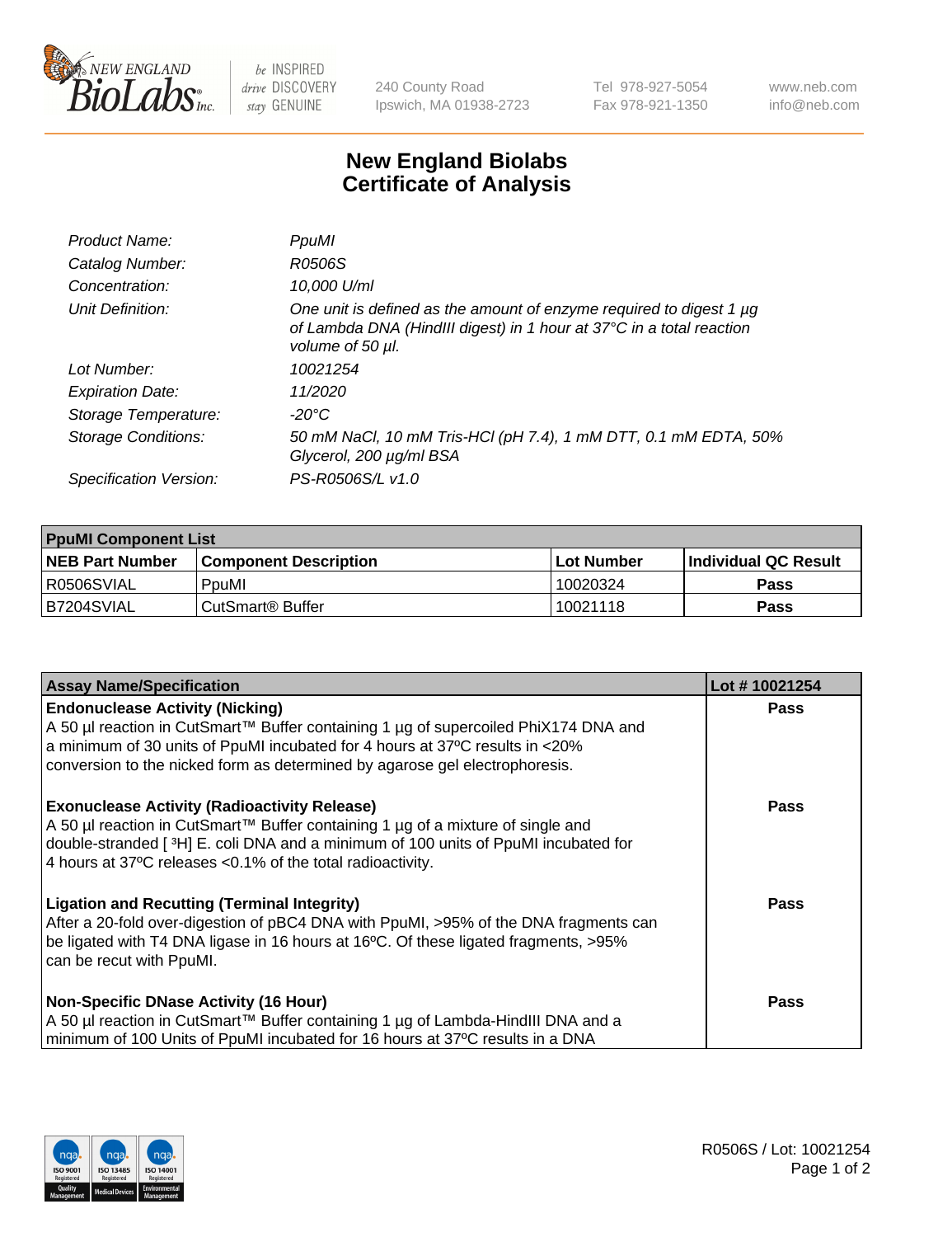

 $be$  INSPIRED drive DISCOVERY stay GENUINE

240 County Road Ipswich, MA 01938-2723 Tel 978-927-5054 Fax 978-921-1350 www.neb.com info@neb.com

## **New England Biolabs Certificate of Analysis**

| Product Name:              | PpuMI                                                                                                                                                           |
|----------------------------|-----------------------------------------------------------------------------------------------------------------------------------------------------------------|
| Catalog Number:            | R0506S                                                                                                                                                          |
| Concentration:             | 10,000 U/ml                                                                                                                                                     |
| Unit Definition:           | One unit is defined as the amount of enzyme required to digest 1 µg<br>of Lambda DNA (HindIII digest) in 1 hour at 37°C in a total reaction<br>volume of 50 µl. |
| Lot Number:                | 10021254                                                                                                                                                        |
| <b>Expiration Date:</b>    | 11/2020                                                                                                                                                         |
| Storage Temperature:       | -20°C                                                                                                                                                           |
| <b>Storage Conditions:</b> | 50 mM NaCl, 10 mM Tris-HCl (pH 7.4), 1 mM DTT, 0.1 mM EDTA, 50%<br>Glycerol, 200 µg/ml BSA                                                                      |
| Specification Version:     | PS-R0506S/L v1.0                                                                                                                                                |

| <b>PpuMI Component List</b> |                              |            |                             |  |  |
|-----------------------------|------------------------------|------------|-----------------------------|--|--|
| <b>NEB Part Number</b>      | <b>Component Description</b> | Lot Number | <b>Individual QC Result</b> |  |  |
| R0506SVIAL                  | PpuMI                        | 10020324   | Pass                        |  |  |
| IB7204SVIAL                 | CutSmart® Buffer             | 10021118   | Pass                        |  |  |

| <b>Assay Name/Specification</b>                                                      | Lot #10021254 |
|--------------------------------------------------------------------------------------|---------------|
| <b>Endonuclease Activity (Nicking)</b>                                               | <b>Pass</b>   |
| A 50 µl reaction in CutSmart™ Buffer containing 1 µg of supercoiled PhiX174 DNA and  |               |
| a minimum of 30 units of PpuMI incubated for 4 hours at 37°C results in <20%         |               |
| conversion to the nicked form as determined by agarose gel electrophoresis.          |               |
| <b>Exonuclease Activity (Radioactivity Release)</b>                                  | <b>Pass</b>   |
| A 50 µl reaction in CutSmart™ Buffer containing 1 µg of a mixture of single and      |               |
| double-stranded [3H] E. coli DNA and a minimum of 100 units of PpuMI incubated for   |               |
| 4 hours at 37°C releases < 0.1% of the total radioactivity.                          |               |
| <b>Ligation and Recutting (Terminal Integrity)</b>                                   | <b>Pass</b>   |
| After a 20-fold over-digestion of pBC4 DNA with PpuMI, >95% of the DNA fragments can |               |
| be ligated with T4 DNA ligase in 16 hours at 16°C. Of these ligated fragments, >95%  |               |
| can be recut with PpuMI.                                                             |               |
| Non-Specific DNase Activity (16 Hour)                                                | <b>Pass</b>   |
| A 50 µl reaction in CutSmart™ Buffer containing 1 µg of Lambda-HindIII DNA and a     |               |
| minimum of 100 Units of PpuMI incubated for 16 hours at 37°C results in a DNA        |               |